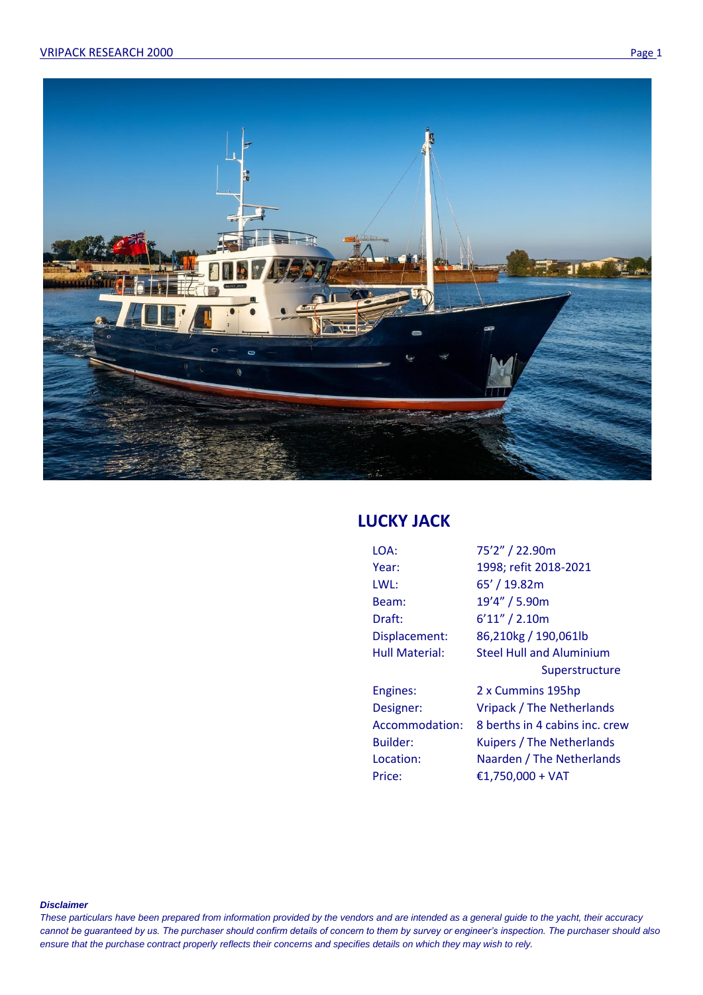

# **LUCKY JACK**

| LOA:                  | 75'2" / 22.90m                  |
|-----------------------|---------------------------------|
| Year:                 | 1998; refit 2018-2021           |
| LWL:                  | 65' / 19.82m                    |
| Beam:                 | 19'4" / 5.90m                   |
| Draft:                | 6'11''/2.10m                    |
| Displacement:         | 86,210kg / 190,061lb            |
| <b>Hull Material:</b> | <b>Steel Hull and Aluminium</b> |
|                       | Superstructure                  |
| Engines:              | 2 x Cummins 195hp               |
| Designer:             | Vripack / The Netherlands       |
| Accommodation:        | 8 berths in 4 cabins inc. crew  |
| Builder:              | Kuipers / The Netherlands       |
| Location:             | Naarden / The Netherlands       |
| Price:                | €1,750,000 + VAT                |
|                       |                                 |

*Disclaimer*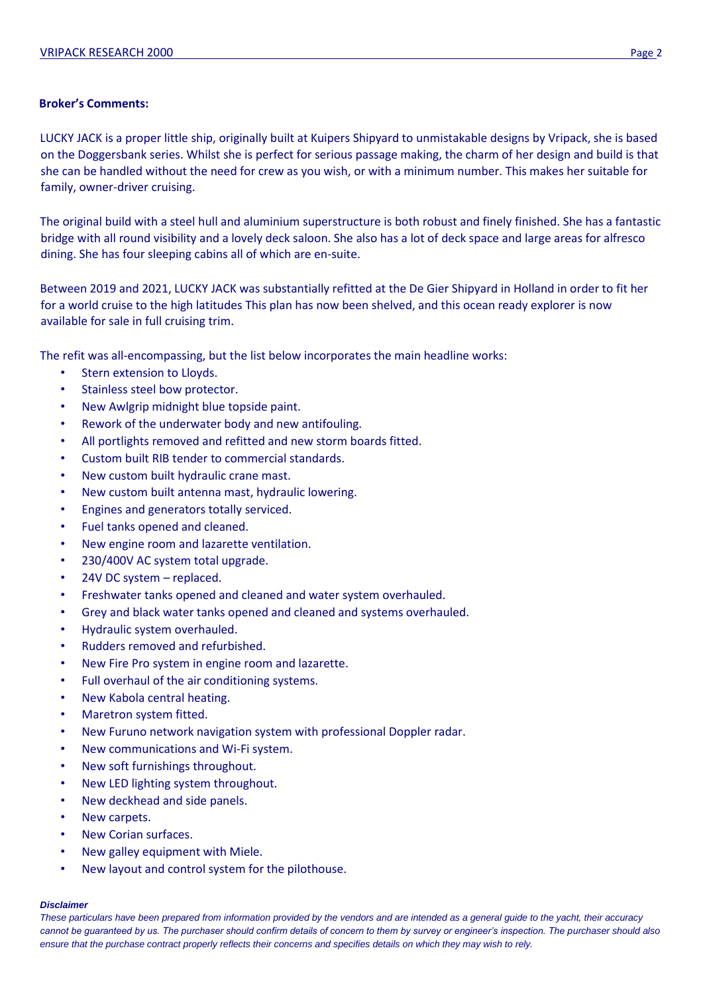## **Broker's Comments:**

LUCKY JACK is a proper little ship, originally built at Kuipers Shipyard to unmistakable designs by Vripack, she is based on the Doggersbank series. Whilst she is perfect for serious passage making, the charm of her design and build is that she can be handled without the need for crew as you wish, or with a minimum number. This makes her suitable for family, owner-driver cruising.

The original build with a steel hull and aluminium superstructure is both robust and finely finished. She has a fantastic bridge with all round visibility and a lovely deck saloon. She also has a lot of deck space and large areas for alfresco dining. She has four sleeping cabins all of which are en-suite.

Between 2019 and 2021, LUCKY JACK was substantially refitted at the De Gier Shipyard in Holland in order to fit her for a world cruise to the high latitudes This plan has now been shelved, and this ocean ready explorer is now available for sale in full cruising trim.

The refit was all-encompassing, but the list below incorporates the main headline works:

- Stern extension to Lloyds.
- Stainless steel bow protector.
- New Awlgrip midnight blue topside paint.
- Rework of the underwater body and new antifouling.
- All portlights removed and refitted and new storm boards fitted.
- Custom built RIB tender to commercial standards.
- New custom built hydraulic crane mast.
- New custom built antenna mast, hydraulic lowering.
- Engines and generators totally serviced.
- Fuel tanks opened and cleaned.
- New engine room and lazarette ventilation.
- 230/400V AC system total upgrade.
- 24V DC system replaced.
- Freshwater tanks opened and cleaned and water system overhauled.
- Grey and black water tanks opened and cleaned and systems overhauled.
- Hydraulic system overhauled.
- Rudders removed and refurbished.
- New Fire Pro system in engine room and lazarette.
- Full overhaul of the air conditioning systems.
- New Kabola central heating.
- Maretron system fitted.
- New Furuno network navigation system with professional Doppler radar.
- New communications and Wi-Fi system.
- New soft furnishings throughout.
- New LED lighting system throughout.
- New deckhead and side panels.
- New carpets.
- New Corian surfaces.
- New galley equipment with Miele.
- New layout and control system for the pilothouse.

### *Disclaimer*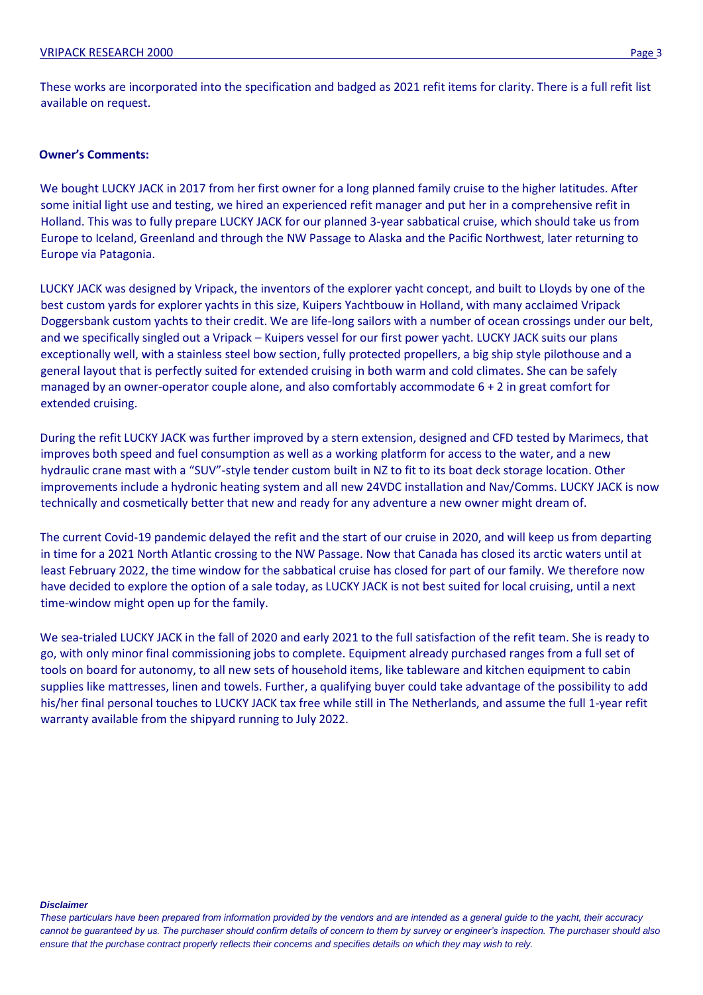These works are incorporated into the specification and badged as 2021 refit items for clarity. There is a full refit list available on request.

### **Owner's Comments:**

We bought LUCKY JACK in 2017 from her first owner for a long planned family cruise to the higher latitudes. After some initial light use and testing, we hired an experienced refit manager and put her in a comprehensive refit in Holland. This was to fully prepare LUCKY JACK for our planned 3-year sabbatical cruise, which should take us from Europe to Iceland, Greenland and through the NW Passage to Alaska and the Pacific Northwest, later returning to Europe via Patagonia.

LUCKY JACK was designed by Vripack, the inventors of the explorer yacht concept, and built to Lloyds by one of the best custom yards for explorer yachts in this size, Kuipers Yachtbouw in Holland, with many acclaimed Vripack Doggersbank custom yachts to their credit. We are life-long sailors with a number of ocean crossings under our belt, and we specifically singled out a Vripack – Kuipers vessel for our first power yacht. LUCKY JACK suits our plans exceptionally well, with a stainless steel bow section, fully protected propellers, a big ship style pilothouse and a general layout that is perfectly suited for extended cruising in both warm and cold climates. She can be safely managed by an owner-operator couple alone, and also comfortably accommodate 6 + 2 in great comfort for extended cruising.

During the refit LUCKY JACK was further improved by a stern extension, designed and CFD tested by Marimecs, that improves both speed and fuel consumption as well as a working platform for access to the water, and a new hydraulic crane mast with a "SUV"-style tender custom built in NZ to fit to its boat deck storage location. Other improvements include a hydronic heating system and all new 24VDC installation and Nav/Comms. LUCKY JACK is now technically and cosmetically better that new and ready for any adventure a new owner might dream of.

The current Covid-19 pandemic delayed the refit and the start of our cruise in 2020, and will keep us from departing in time for a 2021 North Atlantic crossing to the NW Passage. Now that Canada has closed its arctic waters until at least February 2022, the time window for the sabbatical cruise has closed for part of our family. We therefore now have decided to explore the option of a sale today, as LUCKY JACK is not best suited for local cruising, until a next time-window might open up for the family.

We sea-trialed LUCKY JACK in the fall of 2020 and early 2021 to the full satisfaction of the refit team. She is ready to go, with only minor final commissioning jobs to complete. Equipment already purchased ranges from a full set of tools on board for autonomy, to all new sets of household items, like tableware and kitchen equipment to cabin supplies like mattresses, linen and towels. Further, a qualifying buyer could take advantage of the possibility to add his/her final personal touches to LUCKY JACK tax free while still in The Netherlands, and assume the full 1-year refit warranty available from the shipyard running to July 2022.

#### *Disclaimer*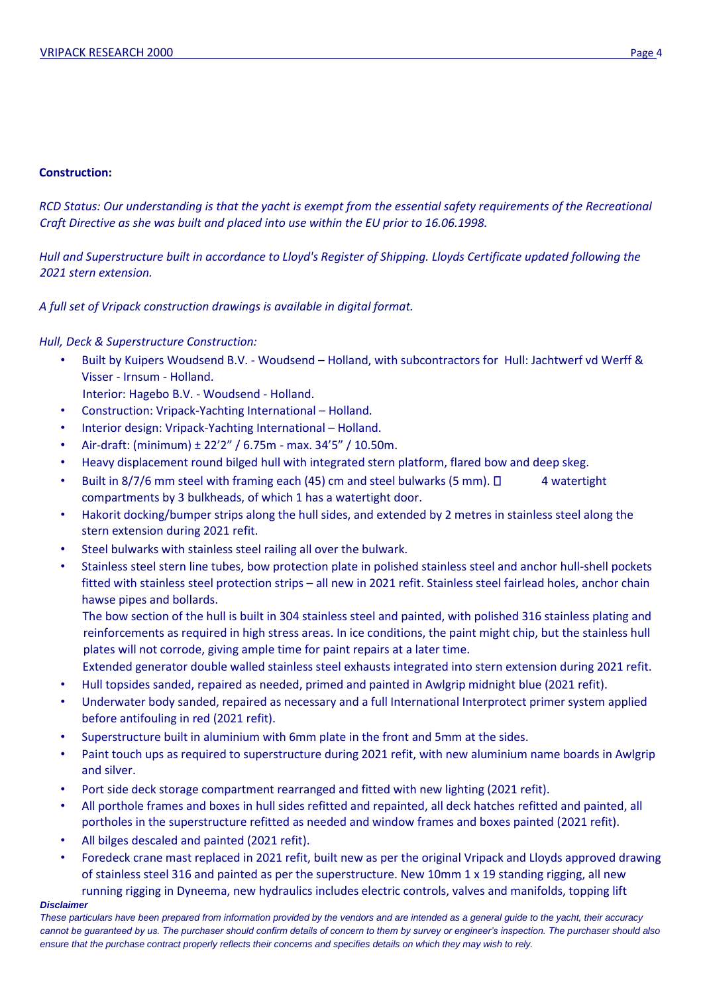## **Construction:**

*RCD Status: Our understanding is that the yacht is exempt from the essential safety requirements of the Recreational Craft Directive as she was built and placed into use within the EU prior to 16.06.1998.*

*Hull and Superstructure built in accordance to Lloyd's Register of Shipping. Lloyds Certificate updated following the 2021 stern extension.* 

*A full set of Vripack construction drawings is available in digital format.* 

## *Hull, Deck & Superstructure Construction:*

- Built by Kuipers Woudsend B.V. Woudsend Holland, with subcontractors for Hull: Jachtwerf vd Werff & Visser - Irnsum - Holland.
- Interior: Hagebo B.V. Woudsend Holland.
- Construction: Vripack-Yachting International Holland.
- Interior design: Vripack-Yachting International Holland.
- Air-draft: (minimum) ± 22'2" / 6.75m max. 34'5" / 10.50m.
- Heavy displacement round bilged hull with integrated stern platform, flared bow and deep skeg.
- Built in 8/7/6 mm steel with framing each (45) cm and steel bulwarks (5 mm).  $\Box$  4 watertight compartments by 3 bulkheads, of which 1 has a watertight door.
- Hakorit docking/bumper strips along the hull sides, and extended by 2 metres in stainless steel along the stern extension during 2021 refit.
- Steel bulwarks with stainless steel railing all over the bulwark.
- Stainless steel stern line tubes, bow protection plate in polished stainless steel and anchor hull-shell pockets fitted with stainless steel protection strips – all new in 2021 refit. Stainless steel fairlead holes, anchor chain hawse pipes and bollards.

The bow section of the hull is built in 304 stainless steel and painted, with polished 316 stainless plating and reinforcements as required in high stress areas. In ice conditions, the paint might chip, but the stainless hull plates will not corrode, giving ample time for paint repairs at a later time.

Extended generator double walled stainless steel exhausts integrated into stern extension during 2021 refit.

- Hull topsides sanded, repaired as needed, primed and painted in Awlgrip midnight blue (2021 refit).
- Underwater body sanded, repaired as necessary and a full International Interprotect primer system applied before antifouling in red (2021 refit).
- Superstructure built in aluminium with 6mm plate in the front and 5mm at the sides.
- Paint touch ups as required to superstructure during 2021 refit, with new aluminium name boards in Awlgrip and silver.
- Port side deck storage compartment rearranged and fitted with new lighting (2021 refit).
- All porthole frames and boxes in hull sides refitted and repainted, all deck hatches refitted and painted, all portholes in the superstructure refitted as needed and window frames and boxes painted (2021 refit).
- All bilges descaled and painted (2021 refit).
- Foredeck crane mast replaced in 2021 refit, built new as per the original Vripack and Lloyds approved drawing of stainless steel 316 and painted as per the superstructure. New 10mm 1 x 19 standing rigging, all new running rigging in Dyneema, new hydraulics includes electric controls, valves and manifolds, topping lift

### *Disclaimer*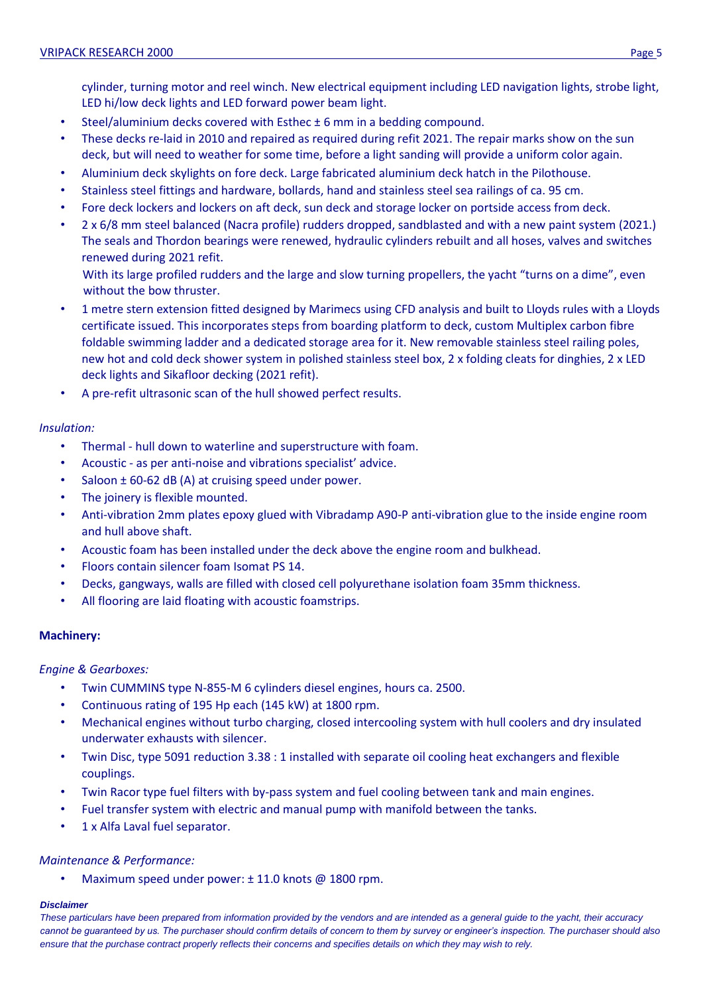cylinder, turning motor and reel winch. New electrical equipment including LED navigation lights, strobe light, LED hi/low deck lights and LED forward power beam light.

- Steel/aluminium decks covered with Esthec ± 6 mm in a bedding compound.
- These decks re-laid in 2010 and repaired as required during refit 2021. The repair marks show on the sun deck, but will need to weather for some time, before a light sanding will provide a uniform color again.
- Aluminium deck skylights on fore deck. Large fabricated aluminium deck hatch in the Pilothouse.
- Stainless steel fittings and hardware, bollards, hand and stainless steel sea railings of ca. 95 cm.
- Fore deck lockers and lockers on aft deck, sun deck and storage locker on portside access from deck.
- 2 x 6/8 mm steel balanced (Nacra profile) rudders dropped, sandblasted and with a new paint system (2021.) The seals and Thordon bearings were renewed, hydraulic cylinders rebuilt and all hoses, valves and switches renewed during 2021 refit.

With its large profiled rudders and the large and slow turning propellers, the yacht "turns on a dime", even without the bow thruster.

- 1 metre stern extension fitted designed by Marimecs using CFD analysis and built to Lloyds rules with a Lloyds certificate issued. This incorporates steps from boarding platform to deck, custom Multiplex carbon fibre foldable swimming ladder and a dedicated storage area for it. New removable stainless steel railing poles, new hot and cold deck shower system in polished stainless steel box, 2 x folding cleats for dinghies, 2 x LED deck lights and Sikafloor decking (2021 refit).
- A pre-refit ultrasonic scan of the hull showed perfect results.

## *Insulation:*

- Thermal hull down to waterline and superstructure with foam.
- Acoustic as per anti-noise and vibrations specialist' advice.
- Saloon  $\pm$  60-62 dB (A) at cruising speed under power.
- The joinery is flexible mounted.
- Anti-vibration 2mm plates epoxy glued with Vibradamp A90-P anti-vibration glue to the inside engine room and hull above shaft.
- Acoustic foam has been installed under the deck above the engine room and bulkhead.
- Floors contain silencer foam Isomat PS 14.
- Decks, gangways, walls are filled with closed cell polyurethane isolation foam 35mm thickness.
- All flooring are laid floating with acoustic foamstrips.

### **Machinery:**

### *Engine & Gearboxes:*

- Twin CUMMINS type N-855-M 6 cylinders diesel engines, hours ca. 2500.
- Continuous rating of 195 Hp each (145 kW) at 1800 rpm.
- Mechanical engines without turbo charging, closed intercooling system with hull coolers and dry insulated underwater exhausts with silencer.
- Twin Disc, type 5091 reduction 3.38 : 1 installed with separate oil cooling heat exchangers and flexible couplings.
- Twin Racor type fuel filters with by-pass system and fuel cooling between tank and main engines.
- Fuel transfer system with electric and manual pump with manifold between the tanks.
- 1 x Alfa Laval fuel separator.

### *Maintenance & Performance:*

• Maximum speed under power: ± 11.0 knots @ 1800 rpm.

### *Disclaimer*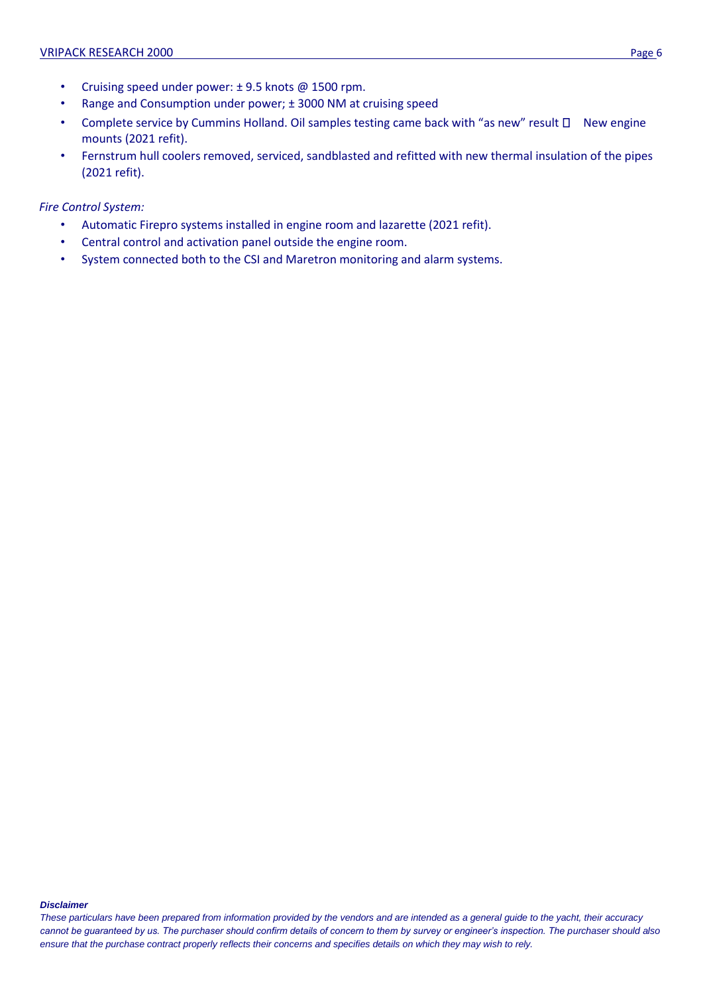- Cruising speed under power: ± 9.5 knots @ 1500 rpm.
- Range and Consumption under power; ± 3000 NM at cruising speed
- Complete service by Cummins Holland. Oil samples testing came back with "as new" result  $\Box$  New engine mounts (2021 refit).
- Fernstrum hull coolers removed, serviced, sandblasted and refitted with new thermal insulation of the pipes (2021 refit).

*Fire Control System:* 

- Automatic Firepro systems installed in engine room and lazarette (2021 refit).
- Central control and activation panel outside the engine room.
- System connected both to the CSI and Maretron monitoring and alarm systems.

#### *Disclaimer*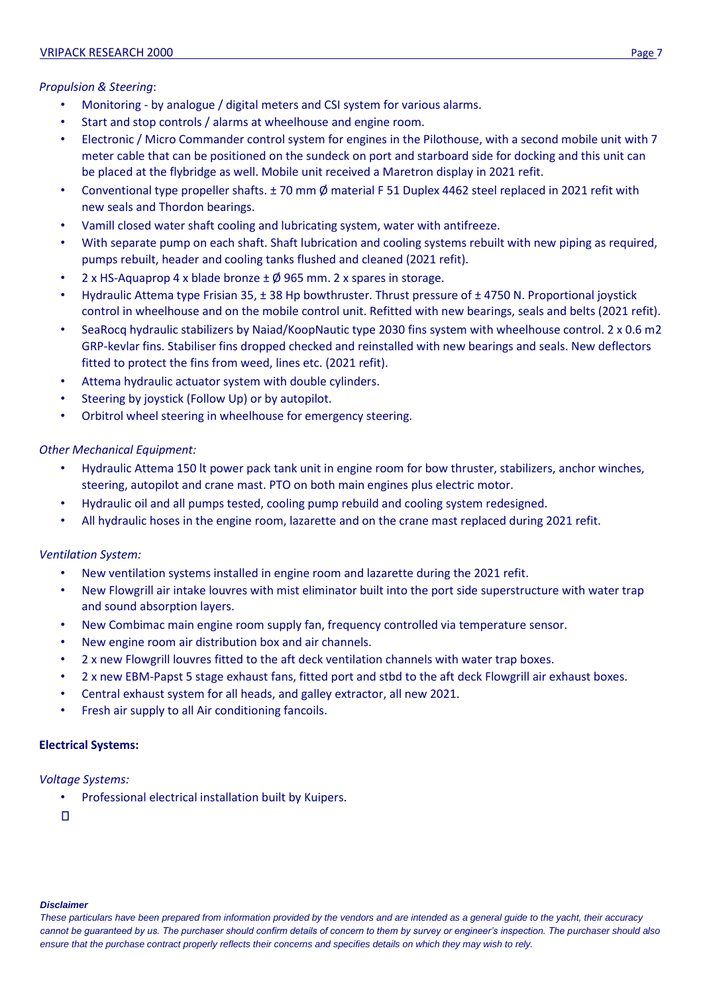## *Propulsion & Steering*:

- Monitoring by analogue / digital meters and CSI system for various alarms.
- Start and stop controls / alarms at wheelhouse and engine room.
- Electronic / Micro Commander control system for engines in the Pilothouse, with a second mobile unit with 7 meter cable that can be positioned on the sundeck on port and starboard side for docking and this unit can be placed at the flybridge as well. Mobile unit received a Maretron display in 2021 refit.
- Conventional type propeller shafts. ± 70 mm Ø material F 51 Duplex 4462 steel replaced in 2021 refit with new seals and Thordon bearings.
- Vamill closed water shaft cooling and lubricating system, water with antifreeze.
- With separate pump on each shaft. Shaft lubrication and cooling systems rebuilt with new piping as required, pumps rebuilt, header and cooling tanks flushed and cleaned (2021 refit).
- 2 x HS-Aquaprop 4 x blade bronze  $\pm \emptyset$  965 mm. 2 x spares in storage.
- Hydraulic Attema type Frisian 35, ± 38 Hp bowthruster. Thrust pressure of ± 4750 N. Proportional joystick control in wheelhouse and on the mobile control unit. Refitted with new bearings, seals and belts (2021 refit).
- SeaRocq hydraulic stabilizers by Naiad/KoopNautic type 2030 fins system with wheelhouse control. 2 x 0.6 m2 GRP-kevlar fins. Stabiliser fins dropped checked and reinstalled with new bearings and seals. New deflectors fitted to protect the fins from weed, lines etc. (2021 refit).
- Attema hydraulic actuator system with double cylinders.
- Steering by joystick (Follow Up) or by autopilot.
- Orbitrol wheel steering in wheelhouse for emergency steering.

## *Other Mechanical Equipment:*

- Hydraulic Attema 150 lt power pack tank unit in engine room for bow thruster, stabilizers, anchor winches, steering, autopilot and crane mast. PTO on both main engines plus electric motor.
- Hydraulic oil and all pumps tested, cooling pump rebuild and cooling system redesigned.
- All hydraulic hoses in the engine room, lazarette and on the crane mast replaced during 2021 refit.

## *Ventilation System:*

- New ventilation systems installed in engine room and lazarette during the 2021 refit.
- New Flowgrill air intake louvres with mist eliminator built into the port side superstructure with water trap and sound absorption layers.
- New Combimac main engine room supply fan, frequency controlled via temperature sensor.
- New engine room air distribution box and air channels.
- 2 x new Flowgrill louvres fitted to the aft deck ventilation channels with water trap boxes.
- 2 x new EBM-Papst 5 stage exhaust fans, fitted port and stbd to the aft deck Flowgrill air exhaust boxes.
- Central exhaust system for all heads, and galley extractor, all new 2021.
- Fresh air supply to all Air conditioning fancoils.

## **Electrical Systems:**

## *Voltage Systems:*

• Professional electrical installation built by Kuipers.

 $\Box$ 

### *Disclaimer*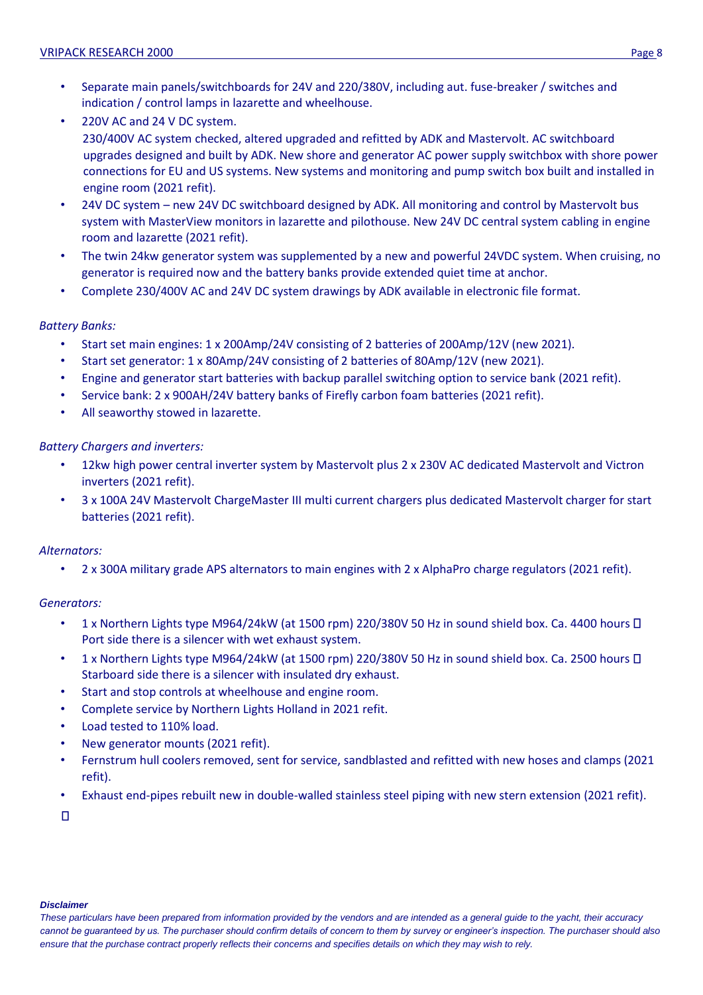- Separate main panels/switchboards for 24V and 220/380V, including aut. fuse-breaker / switches and indication / control lamps in lazarette and wheelhouse.
- 220V AC and 24 V DC system. 230/400V AC system checked, altered upgraded and refitted by ADK and Mastervolt. AC switchboard upgrades designed and built by ADK. New shore and generator AC power supply switchbox with shore power connections for EU and US systems. New systems and monitoring and pump switch box built and installed in engine room (2021 refit).
- 24V DC system new 24V DC switchboard designed by ADK. All monitoring and control by Mastervolt bus system with MasterView monitors in lazarette and pilothouse. New 24V DC central system cabling in engine room and lazarette (2021 refit).
- The twin 24kw generator system was supplemented by a new and powerful 24VDC system. When cruising, no generator is required now and the battery banks provide extended quiet time at anchor.
- Complete 230/400V AC and 24V DC system drawings by ADK available in electronic file format.

## *Battery Banks:*

- Start set main engines: 1 x 200Amp/24V consisting of 2 batteries of 200Amp/12V (new 2021).
- Start set generator: 1 x 80Amp/24V consisting of 2 batteries of 80Amp/12V (new 2021).
- Engine and generator start batteries with backup parallel switching option to service bank (2021 refit).
- Service bank: 2 x 900AH/24V battery banks of Firefly carbon foam batteries (2021 refit).
- All seaworthy stowed in lazarette.

## *Battery Chargers and inverters:*

- 12kw high power central inverter system by Mastervolt plus 2 x 230V AC dedicated Mastervolt and Victron inverters (2021 refit).
- 3 x 100A 24V Mastervolt ChargeMaster III multi current chargers plus dedicated Mastervolt charger for start batteries (2021 refit).

## *Alternators:*

• 2 x 300A military grade APS alternators to main engines with 2 x AlphaPro charge regulators (2021 refit).

## *Generators:*

- 1 x Northern Lights type M964/24kW (at 1500 rpm) 220/380V 50 Hz in sound shield box. Ca. 4400 hours  $\Box$ Port side there is a silencer with wet exhaust system.
- 1 x Northern Lights type M964/24kW (at 1500 rpm) 220/380V 50 Hz in sound shield box. Ca. 2500 hours  $\Box$ Starboard side there is a silencer with insulated dry exhaust.
- Start and stop controls at wheelhouse and engine room.
- Complete service by Northern Lights Holland in 2021 refit.
- Load tested to 110% load.
- New generator mounts (2021 refit).
- Fernstrum hull coolers removed, sent for service, sandblasted and refitted with new hoses and clamps (2021 refit).
- Exhaust end-pipes rebuilt new in double-walled stainless steel piping with new stern extension (2021 refit).

 $\Box$ 

#### *Disclaimer*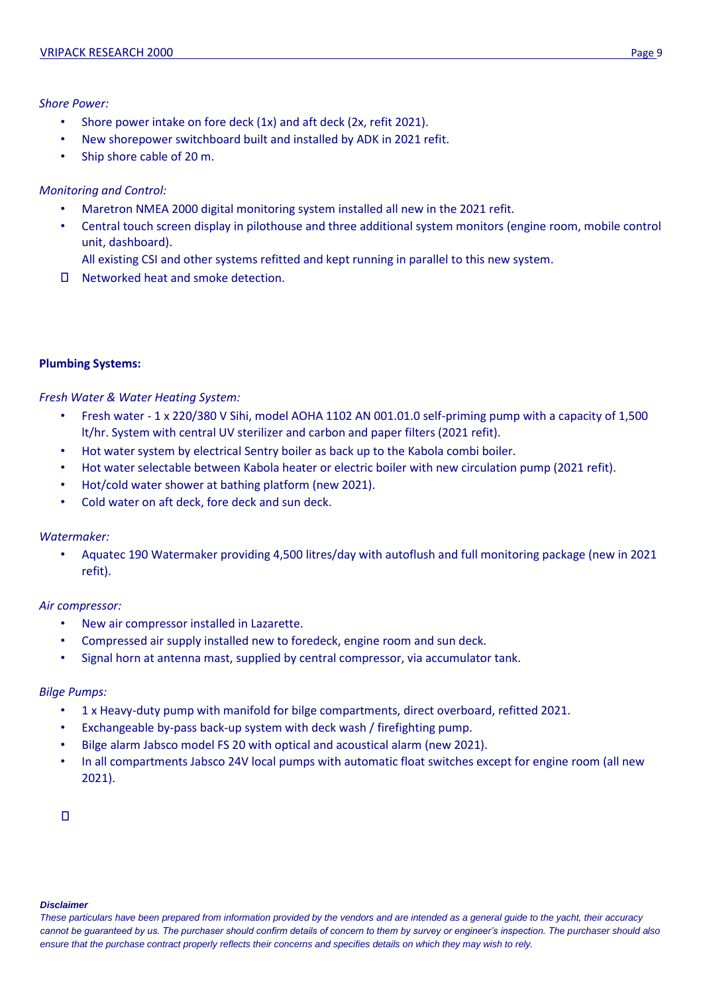## *Shore Power:*

- Shore power intake on fore deck (1x) and aft deck (2x, refit 2021).
- New shorepower switchboard built and installed by ADK in 2021 refit.
- Ship shore cable of 20 m.

## *Monitoring and Control:*

- Maretron NMEA 2000 digital monitoring system installed all new in the 2021 refit.
- Central touch screen display in pilothouse and three additional system monitors (engine room, mobile control unit, dashboard).
	- All existing CSI and other systems refitted and kept running in parallel to this new system.
- □ Networked heat and smoke detection.

## **Plumbing Systems:**

## *Fresh Water & Water Heating System:*

- Fresh water 1 x 220/380 V Sihi, model AOHA 1102 AN 001.01.0 self-priming pump with a capacity of 1,500 lt/hr. System with central UV sterilizer and carbon and paper filters (2021 refit).
- Hot water system by electrical Sentry boiler as back up to the Kabola combi boiler.
- Hot water selectable between Kabola heater or electric boiler with new circulation pump (2021 refit).
- Hot/cold water shower at bathing platform (new 2021).
- Cold water on aft deck, fore deck and sun deck.

## *Watermaker:*

• Aquatec 190 Watermaker providing 4,500 litres/day with autoflush and full monitoring package (new in 2021 refit).

## *Air compressor:*

- New air compressor installed in Lazarette.
- Compressed air supply installed new to foredeck, engine room and sun deck.
- Signal horn at antenna mast, supplied by central compressor, via accumulator tank.

## *Bilge Pumps:*

- 1 x Heavy-duty pump with manifold for bilge compartments, direct overboard, refitted 2021.
- Exchangeable by-pass back-up system with deck wash / firefighting pump.
- Bilge alarm Jabsco model FS 20 with optical and acoustical alarm (new 2021).
- In all compartments Jabsco 24V local pumps with automatic float switches except for engine room (all new 2021).

 $\Box$ 

#### *Disclaimer*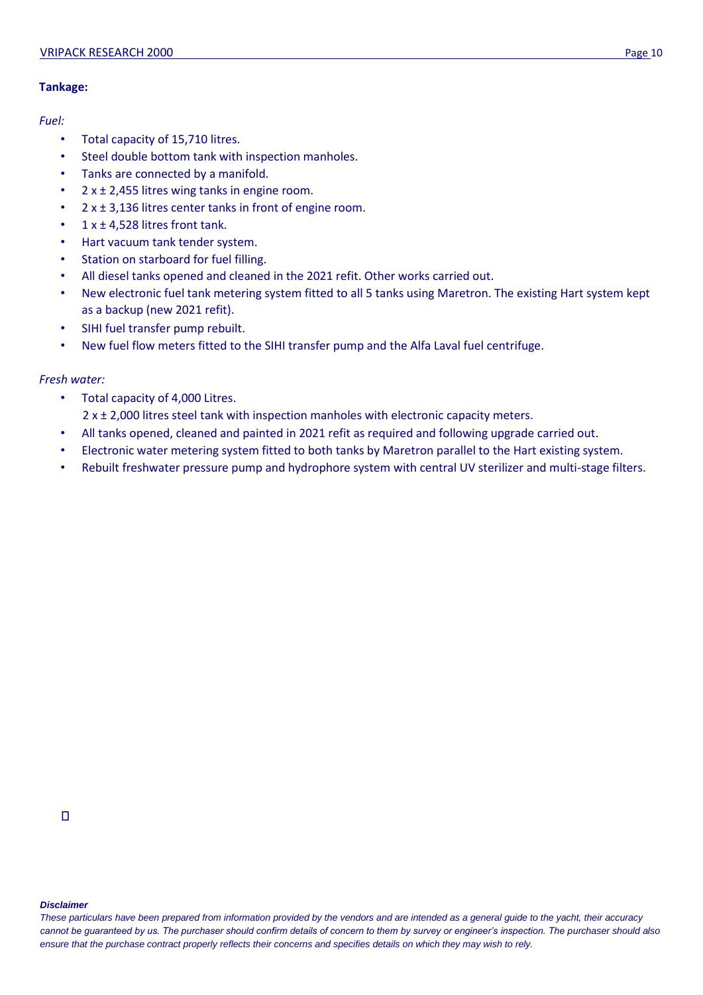## **Tankage:**

## *Fuel:*

- Total capacity of 15,710 litres.
- Steel double bottom tank with inspection manholes.
- Tanks are connected by a manifold.
- $2 x ± 2,455$  litres wing tanks in engine room.
- $2 \times \pm 3,136$  litres center tanks in front of engine room.
- $1 x ± 4,528$  litres front tank.
- Hart vacuum tank tender system.
- Station on starboard for fuel filling.
- All diesel tanks opened and cleaned in the 2021 refit. Other works carried out.
- New electronic fuel tank metering system fitted to all 5 tanks using Maretron. The existing Hart system kept as a backup (new 2021 refit).
- SIHI fuel transfer pump rebuilt.
- New fuel flow meters fitted to the SIHI transfer pump and the Alfa Laval fuel centrifuge.

## *Fresh water:*

- Total capacity of 4,000 Litres.
	- $2 \times 2$ ,000 litres steel tank with inspection manholes with electronic capacity meters.
- All tanks opened, cleaned and painted in 2021 refit as required and following upgrade carried out.
- Electronic water metering system fitted to both tanks by Maretron parallel to the Hart existing system.
- Rebuilt freshwater pressure pump and hydrophore system with central UV sterilizer and multi-stage filters.

#### *Disclaimer*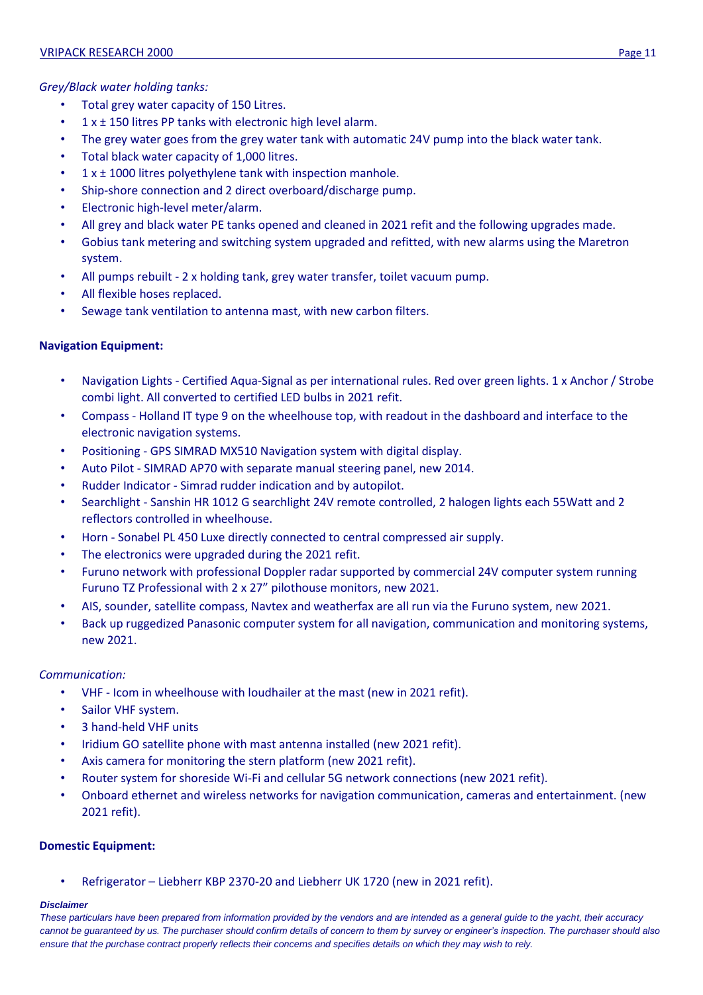## *Grey/Black water holding tanks:*

- Total grey water capacity of 150 Litres.
- $\cdot$  1 x  $\pm$  150 litres PP tanks with electronic high level alarm.
- The grey water goes from the grey water tank with automatic 24V pump into the black water tank.
- Total black water capacity of 1,000 litres.
- 1 x ± 1000 litres polyethylene tank with inspection manhole.
- Ship-shore connection and 2 direct overboard/discharge pump.
- Electronic high-level meter/alarm.
- All grey and black water PE tanks opened and cleaned in 2021 refit and the following upgrades made.
- Gobius tank metering and switching system upgraded and refitted, with new alarms using the Maretron system.
- All pumps rebuilt 2 x holding tank, grey water transfer, toilet vacuum pump.
- All flexible hoses replaced.
- Sewage tank ventilation to antenna mast, with new carbon filters.

## **Navigation Equipment:**

- Navigation Lights Certified Aqua-Signal as per international rules. Red over green lights. 1 x Anchor / Strobe combi light. All converted to certified LED bulbs in 2021 refit.
- Compass Holland IT type 9 on the wheelhouse top, with readout in the dashboard and interface to the electronic navigation systems.
- Positioning GPS SIMRAD MX510 Navigation system with digital display.
- Auto Pilot SIMRAD AP70 with separate manual steering panel, new 2014.
- Rudder Indicator Simrad rudder indication and by autopilot.
- Searchlight Sanshin HR 1012 G searchlight 24V remote controlled, 2 halogen lights each 55Watt and 2 reflectors controlled in wheelhouse.
- Horn Sonabel PL 450 Luxe directly connected to central compressed air supply.
- The electronics were upgraded during the 2021 refit.
- Furuno network with professional Doppler radar supported by commercial 24V computer system running Furuno TZ Professional with 2 x 27" pilothouse monitors, new 2021.
- AIS, sounder, satellite compass, Navtex and weatherfax are all run via the Furuno system, new 2021.
- Back up ruggedized Panasonic computer system for all navigation, communication and monitoring systems, new 2021.

## *Communication:*

- VHF Icom in wheelhouse with loudhailer at the mast (new in 2021 refit).
- Sailor VHF system.
- 3 hand-held VHF units
- Iridium GO satellite phone with mast antenna installed (new 2021 refit).
- Axis camera for monitoring the stern platform (new 2021 refit).
- Router system for shoreside Wi-Fi and cellular 5G network connections (new 2021 refit).
- Onboard ethernet and wireless networks for navigation communication, cameras and entertainment. (new 2021 refit).

## **Domestic Equipment:**

• Refrigerator – Liebherr KBP 2370-20 and Liebherr UK 1720 (new in 2021 refit).

### *Disclaimer*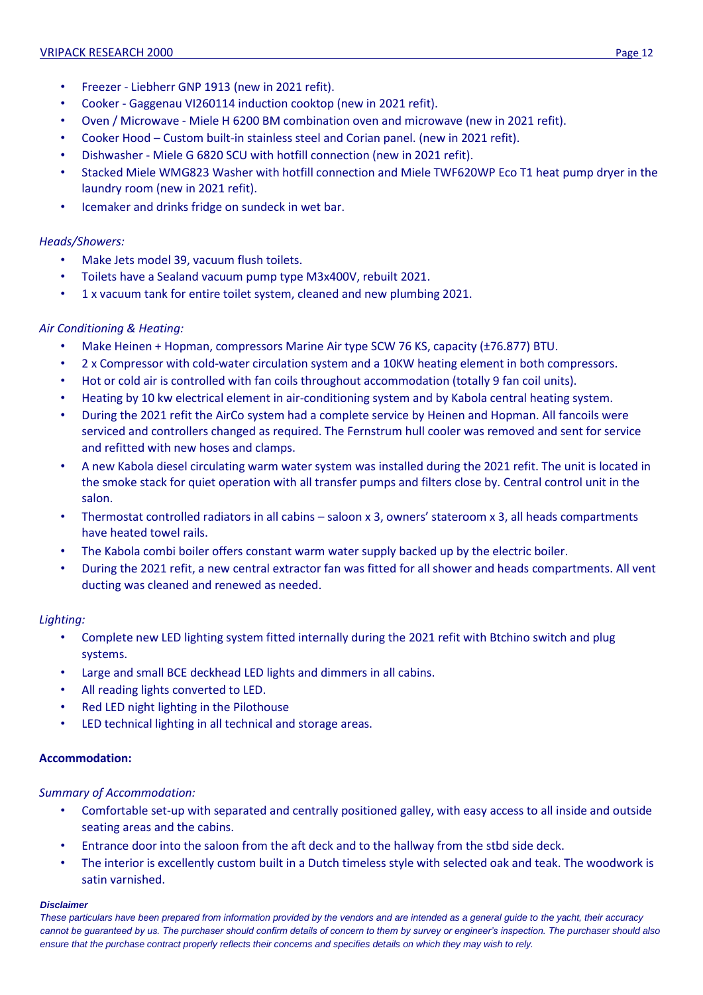- Freezer Liebherr GNP 1913 (new in 2021 refit).
- Cooker Gaggenau VI260114 induction cooktop (new in 2021 refit).
- Oven / Microwave Miele H 6200 BM combination oven and microwave (new in 2021 refit).
- Cooker Hood Custom built-in stainless steel and Corian panel. (new in 2021 refit).
- Dishwasher Miele G 6820 SCU with hotfill connection (new in 2021 refit).
- Stacked Miele WMG823 Washer with hotfill connection and Miele TWF620WP Eco T1 heat pump dryer in the laundry room (new in 2021 refit).
- Icemaker and drinks fridge on sundeck in wet bar.

## *Heads/Showers:*

- Make Jets model 39, vacuum flush toilets.
- Toilets have a Sealand vacuum pump type M3x400V, rebuilt 2021.
- 1 x vacuum tank for entire toilet system, cleaned and new plumbing 2021.

## *Air Conditioning & Heating:*

- Make Heinen + Hopman, compressors Marine Air type SCW 76 KS, capacity (±76.877) BTU.
- 2 x Compressor with cold-water circulation system and a 10KW heating element in both compressors.
- Hot or cold air is controlled with fan coils throughout accommodation (totally 9 fan coil units).
- Heating by 10 kw electrical element in air-conditioning system and by Kabola central heating system.
- During the 2021 refit the AirCo system had a complete service by Heinen and Hopman. All fancoils were serviced and controllers changed as required. The Fernstrum hull cooler was removed and sent for service and refitted with new hoses and clamps.
- A new Kabola diesel circulating warm water system was installed during the 2021 refit. The unit is located in the smoke stack for quiet operation with all transfer pumps and filters close by. Central control unit in the salon.
- Thermostat controlled radiators in all cabins saloon x 3, owners' stateroom x 3, all heads compartments have heated towel rails.
- The Kabola combi boiler offers constant warm water supply backed up by the electric boiler.
- During the 2021 refit, a new central extractor fan was fitted for all shower and heads compartments. All vent ducting was cleaned and renewed as needed.

## *Lighting:*

- Complete new LED lighting system fitted internally during the 2021 refit with Btchino switch and plug systems.
- Large and small BCE deckhead LED lights and dimmers in all cabins.
- All reading lights converted to LED.
- Red LED night lighting in the Pilothouse
- LED technical lighting in all technical and storage areas.

## **Accommodation:**

## *Summary of Accommodation:*

- Comfortable set-up with separated and centrally positioned galley, with easy access to all inside and outside seating areas and the cabins.
- Entrance door into the saloon from the aft deck and to the hallway from the stbd side deck.
- The interior is excellently custom built in a Dutch timeless style with selected oak and teak. The woodwork is satin varnished.

### *Disclaimer*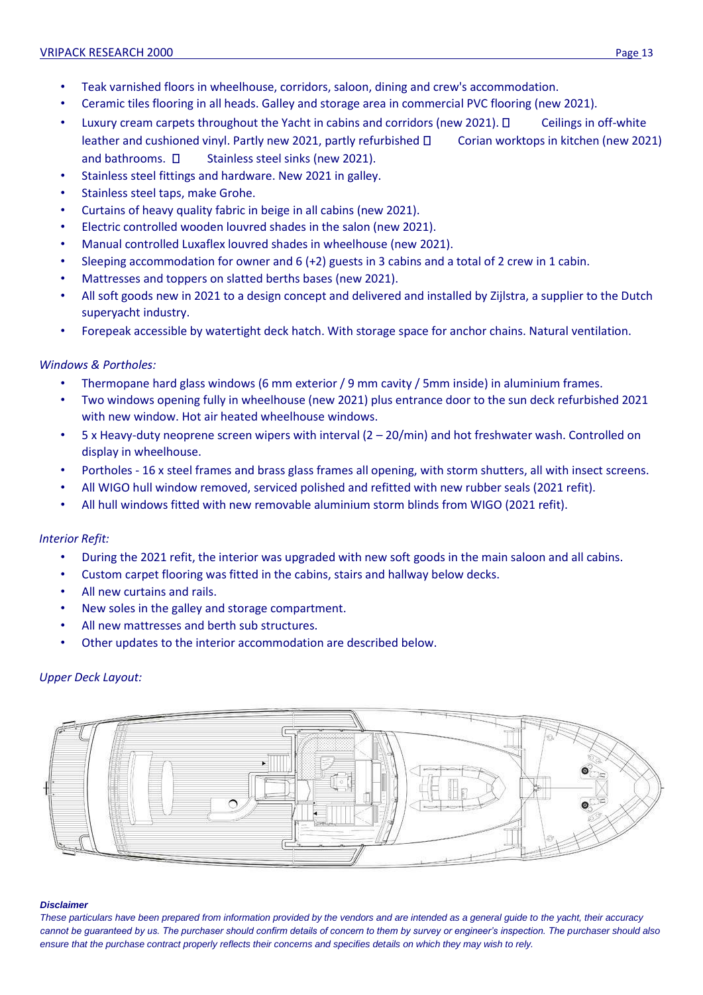- Teak varnished floors in wheelhouse, corridors, saloon, dining and crew's accommodation.
- Ceramic tiles flooring in all heads. Galley and storage area in commercial PVC flooring (new 2021).
- Luxury cream carpets throughout the Yacht in cabins and corridors (new 2021).  $\Box$  Ceilings in off-white leather and cushioned vinyl. Partly new 2021, partly refurbished  $\Box$  Corian worktops in kitchen (new 2021) and bathrooms.  $\square$  Stainless steel sinks (new 2021).
- Stainless steel fittings and hardware. New 2021 in galley.
- Stainless steel taps, make Grohe.
- Curtains of heavy quality fabric in beige in all cabins (new 2021).
- Electric controlled wooden louvred shades in the salon (new 2021).
- Manual controlled Luxaflex louvred shades in wheelhouse (new 2021).
- Sleeping accommodation for owner and 6 (+2) guests in 3 cabins and a total of 2 crew in 1 cabin.
- Mattresses and toppers on slatted berths bases (new 2021).
- All soft goods new in 2021 to a design concept and delivered and installed by Zijlstra, a supplier to the Dutch superyacht industry.
- Forepeak accessible by watertight deck hatch. With storage space for anchor chains. Natural ventilation.

## *Windows & Portholes:*

- Thermopane hard glass windows (6 mm exterior / 9 mm cavity / 5mm inside) in aluminium frames.
- Two windows opening fully in wheelhouse (new 2021) plus entrance door to the sun deck refurbished 2021 with new window. Hot air heated wheelhouse windows.
- 5 x Heavy-duty neoprene screen wipers with interval (2 20/min) and hot freshwater wash. Controlled on display in wheelhouse.
- Portholes 16 x steel frames and brass glass frames all opening, with storm shutters, all with insect screens.
- All WIGO hull window removed, serviced polished and refitted with new rubber seals (2021 refit).
- All hull windows fitted with new removable aluminium storm blinds from WIGO (2021 refit).

## *Interior Refit:*

- During the 2021 refit, the interior was upgraded with new soft goods in the main saloon and all cabins.
- Custom carpet flooring was fitted in the cabins, stairs and hallway below decks.
- All new curtains and rails.
- New soles in the galley and storage compartment.
- All new mattresses and berth sub structures.
- Other updates to the interior accommodation are described below.

## *Upper Deck Layout:*



### *Disclaimer*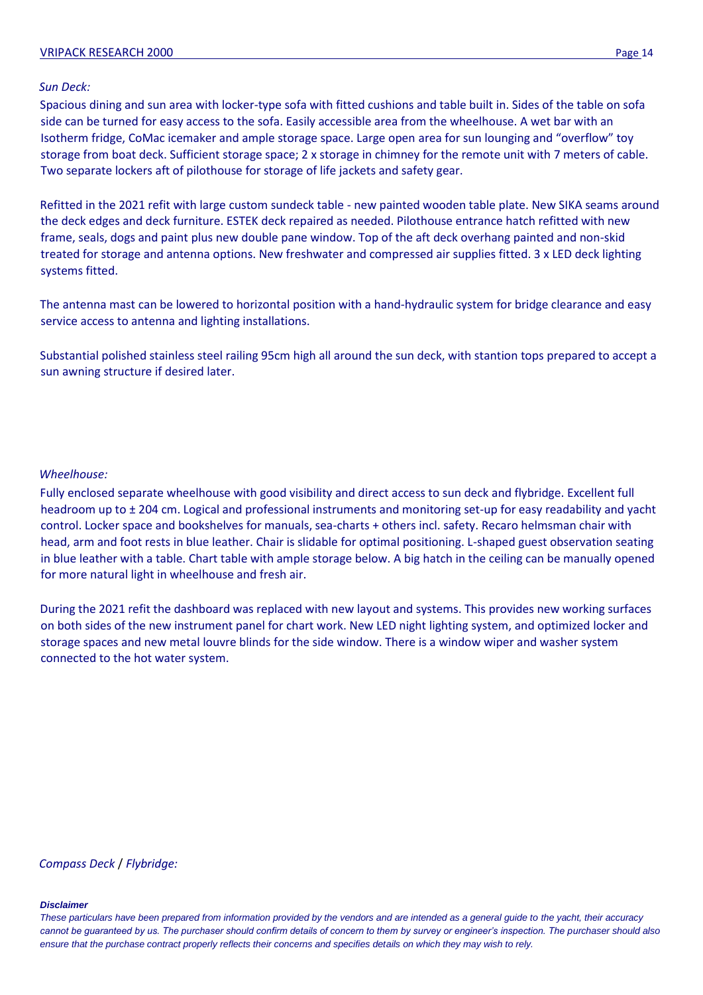### VRIPACK RESEARCH 2000 Page 14

### *Sun Deck:*

Spacious dining and sun area with locker-type sofa with fitted cushions and table built in. Sides of the table on sofa side can be turned for easy access to the sofa. Easily accessible area from the wheelhouse. A wet bar with an Isotherm fridge, CoMac icemaker and ample storage space. Large open area for sun lounging and "overflow" toy storage from boat deck. Sufficient storage space; 2 x storage in chimney for the remote unit with 7 meters of cable. Two separate lockers aft of pilothouse for storage of life jackets and safety gear.

Refitted in the 2021 refit with large custom sundeck table - new painted wooden table plate. New SIKA seams around the deck edges and deck furniture. ESTEK deck repaired as needed. Pilothouse entrance hatch refitted with new frame, seals, dogs and paint plus new double pane window. Top of the aft deck overhang painted and non-skid treated for storage and antenna options. New freshwater and compressed air supplies fitted. 3 x LED deck lighting systems fitted.

The antenna mast can be lowered to horizontal position with a hand-hydraulic system for bridge clearance and easy service access to antenna and lighting installations.

Substantial polished stainless steel railing 95cm high all around the sun deck, with stantion tops prepared to accept a sun awning structure if desired later.

### *Wheelhouse:*

Fully enclosed separate wheelhouse with good visibility and direct access to sun deck and flybridge. Excellent full headroom up to ± 204 cm. Logical and professional instruments and monitoring set-up for easy readability and yacht control. Locker space and bookshelves for manuals, sea-charts + others incl. safety. Recaro helmsman chair with head, arm and foot rests in blue leather. Chair is slidable for optimal positioning. L-shaped guest observation seating in blue leather with a table. Chart table with ample storage below. A big hatch in the ceiling can be manually opened for more natural light in wheelhouse and fresh air.

During the 2021 refit the dashboard was replaced with new layout and systems. This provides new working surfaces on both sides of the new instrument panel for chart work. New LED night lighting system, and optimized locker and storage spaces and new metal louvre blinds for the side window. There is a window wiper and washer system connected to the hot water system.

### *Compass Deck* / *Flybridge:*

#### *Disclaimer*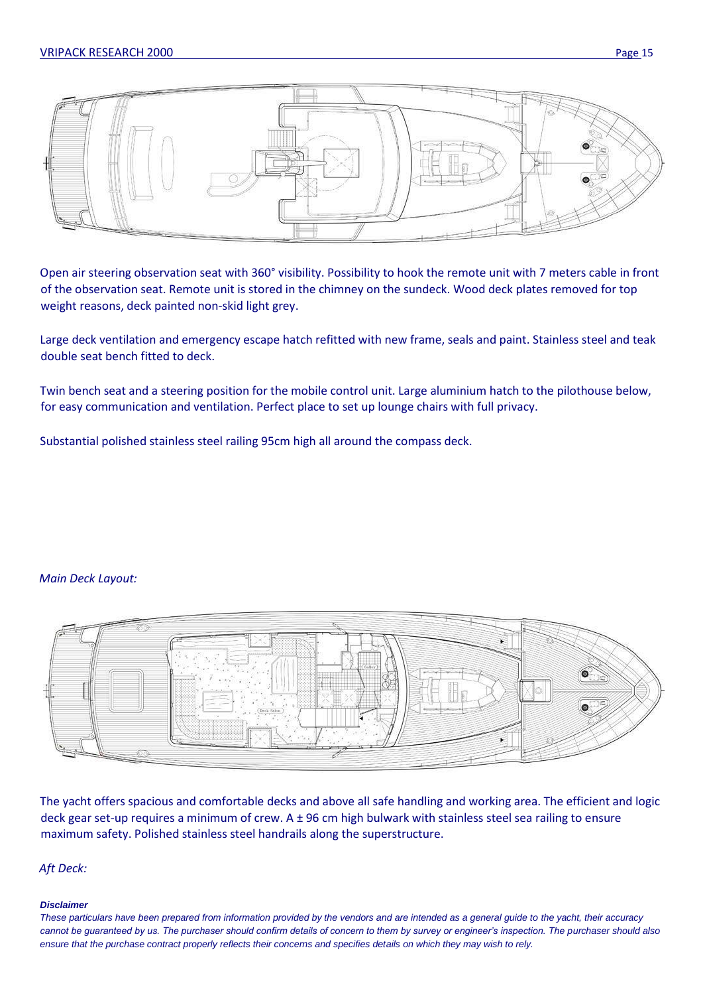

Open air steering observation seat with 360° visibility. Possibility to hook the remote unit with 7 meters cable in front of the observation seat. Remote unit is stored in the chimney on the sundeck. Wood deck plates removed for top weight reasons, deck painted non-skid light grey.

Large deck ventilation and emergency escape hatch refitted with new frame, seals and paint. Stainless steel and teak double seat bench fitted to deck.

Twin bench seat and a steering position for the mobile control unit. Large aluminium hatch to the pilothouse below, for easy communication and ventilation. Perfect place to set up lounge chairs with full privacy.

Substantial polished stainless steel railing 95cm high all around the compass deck.

## *Main Deck Layout:*



The yacht offers spacious and comfortable decks and above all safe handling and working area. The efficient and logic deck gear set-up requires a minimum of crew. A ± 96 cm high bulwark with stainless steel sea railing to ensure maximum safety. Polished stainless steel handrails along the superstructure.

### *Aft Deck:*

### *Disclaimer*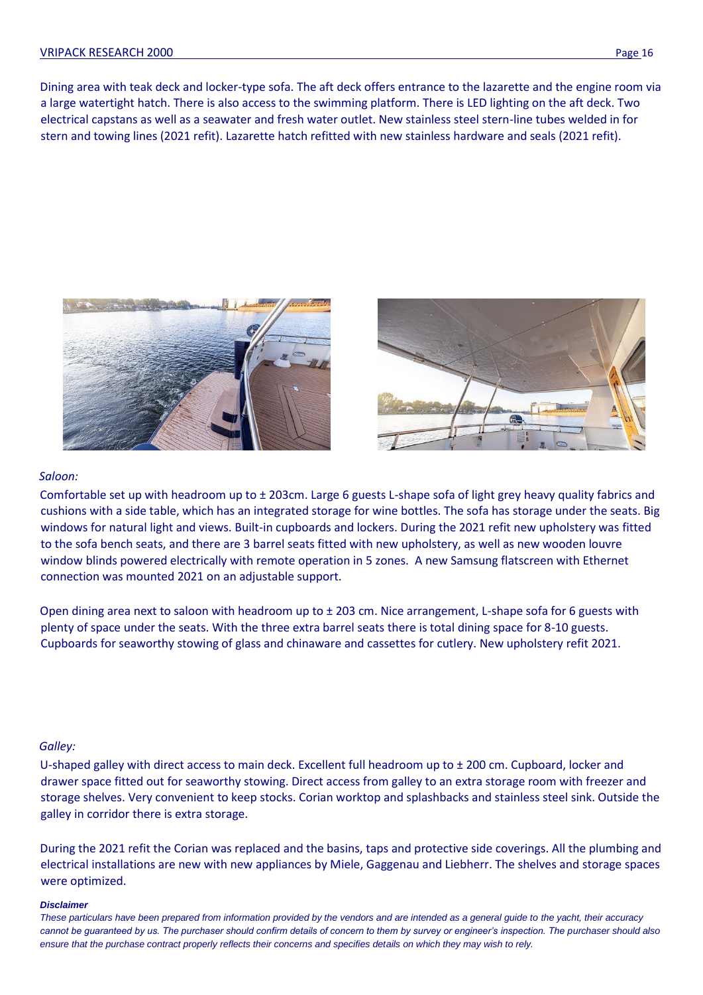Dining area with teak deck and locker-type sofa. The aft deck offers entrance to the lazarette and the engine room via a large watertight hatch. There is also access to the swimming platform. There is LED lighting on the aft deck. Two electrical capstans as well as a seawater and fresh water outlet. New stainless steel stern-line tubes welded in for stern and towing lines (2021 refit). Lazarette hatch refitted with new stainless hardware and seals (2021 refit).





### *Saloon:*

Comfortable set up with headroom up to ± 203cm. Large 6 guests L-shape sofa of light grey heavy quality fabrics and cushions with a side table, which has an integrated storage for wine bottles. The sofa has storage under the seats. Big windows for natural light and views. Built-in cupboards and lockers. During the 2021 refit new upholstery was fitted to the sofa bench seats, and there are 3 barrel seats fitted with new upholstery, as well as new wooden louvre window blinds powered electrically with remote operation in 5 zones. A new Samsung flatscreen with Ethernet connection was mounted 2021 on an adjustable support.

Open dining area next to saloon with headroom up to  $\pm$  203 cm. Nice arrangement, L-shape sofa for 6 guests with plenty of space under the seats. With the three extra barrel seats there is total dining space for 8-10 guests. Cupboards for seaworthy stowing of glass and chinaware and cassettes for cutlery. New upholstery refit 2021.

## *Galley:*

U-shaped galley with direct access to main deck. Excellent full headroom up to ± 200 cm. Cupboard, locker and drawer space fitted out for seaworthy stowing. Direct access from galley to an extra storage room with freezer and storage shelves. Very convenient to keep stocks. Corian worktop and splashbacks and stainless steel sink. Outside the galley in corridor there is extra storage.

During the 2021 refit the Corian was replaced and the basins, taps and protective side coverings. All the plumbing and electrical installations are new with new appliances by Miele, Gaggenau and Liebherr. The shelves and storage spaces were optimized.

#### *Disclaimer*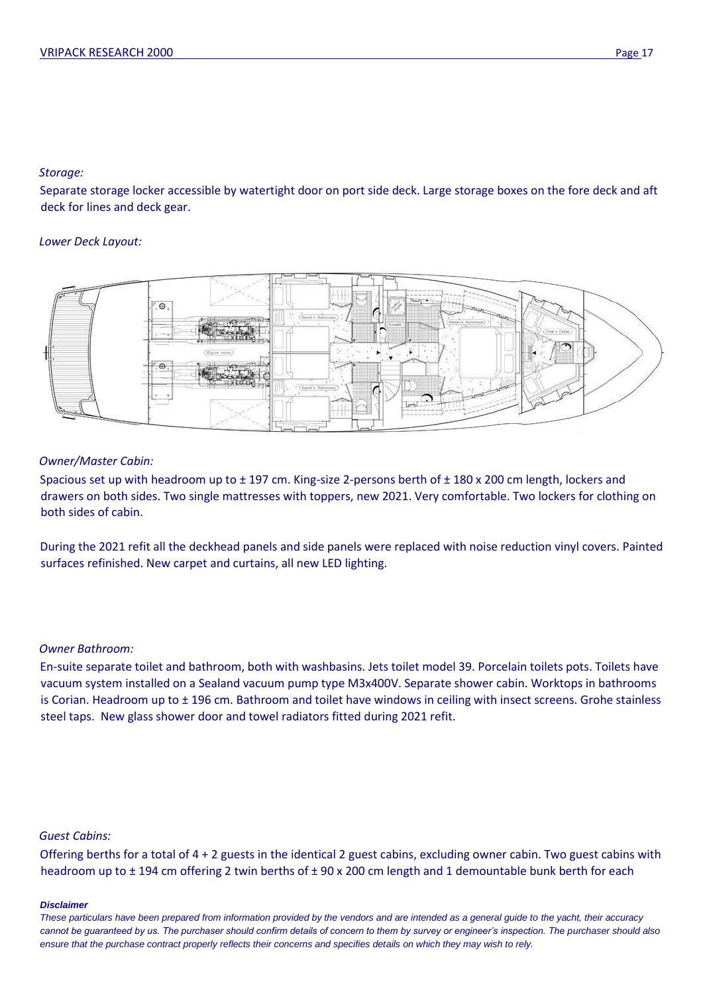## *Storage:*

Separate storage locker accessible by watertight door on port side deck. Large storage boxes on the fore deck and aft deck for lines and deck gear.

## *Lower Deck Layout:*



## *Owner/Master Cabin:*

Spacious set up with headroom up to ± 197 cm. King-size 2-persons berth of ± 180 x 200 cm length, lockers and drawers on both sides. Two single mattresses with toppers, new 2021. Very comfortable. Two lockers for clothing on both sides of cabin.

During the 2021 refit all the deckhead panels and side panels were replaced with noise reduction vinyl covers. Painted surfaces refinished. New carpet and curtains, all new LED lighting.

## *Owner Bathroom:*

En-suite separate toilet and bathroom, both with washbasins. Jets toilet model 39. Porcelain toilets pots. Toilets have vacuum system installed on a Sealand vacuum pump type M3x400V. Separate shower cabin. Worktops in bathrooms is Corian. Headroom up to ± 196 cm. Bathroom and toilet have windows in ceiling with insect screens. Grohe stainless steel taps. New glass shower door and towel radiators fitted during 2021 refit.

### *Guest Cabins:*

Offering berths for a total of 4 + 2 guests in the identical 2 guest cabins, excluding owner cabin. Two guest cabins with headroom up to ± 194 cm offering 2 twin berths of ± 90 x 200 cm length and 1 demountable bunk berth for each

### *Disclaimer*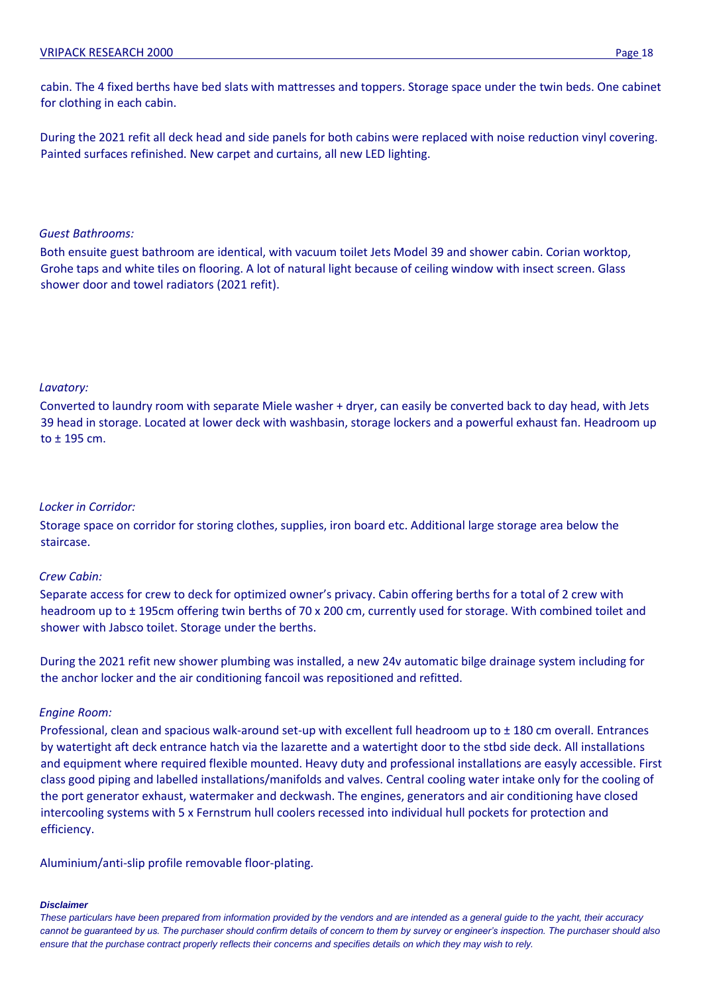cabin. The 4 fixed berths have bed slats with mattresses and toppers. Storage space under the twin beds. One cabinet for clothing in each cabin.

During the 2021 refit all deck head and side panels for both cabins were replaced with noise reduction vinyl covering. Painted surfaces refinished. New carpet and curtains, all new LED lighting.

## *Guest Bathrooms:*

Both ensuite guest bathroom are identical, with vacuum toilet Jets Model 39 and shower cabin. Corian worktop, Grohe taps and white tiles on flooring. A lot of natural light because of ceiling window with insect screen. Glass shower door and towel radiators (2021 refit).

## *Lavatory:*

Converted to laundry room with separate Miele washer + dryer, can easily be converted back to day head, with Jets 39 head in storage. Located at lower deck with washbasin, storage lockers and a powerful exhaust fan. Headroom up to ± 195 cm.

## *Locker in Corridor:*

Storage space on corridor for storing clothes, supplies, iron board etc. Additional large storage area below the staircase.

## *Crew Cabin:*

Separate access for crew to deck for optimized owner's privacy. Cabin offering berths for a total of 2 crew with headroom up to  $\pm$  195cm offering twin berths of 70 x 200 cm, currently used for storage. With combined toilet and shower with Jabsco toilet. Storage under the berths.

During the 2021 refit new shower plumbing was installed, a new 24v automatic bilge drainage system including for the anchor locker and the air conditioning fancoil was repositioned and refitted.

## *Engine Room:*

Professional, clean and spacious walk-around set-up with excellent full headroom up to ± 180 cm overall. Entrances by watertight aft deck entrance hatch via the lazarette and a watertight door to the stbd side deck. All installations and equipment where required flexible mounted. Heavy duty and professional installations are easyly accessible. First class good piping and labelled installations/manifolds and valves. Central cooling water intake only for the cooling of the port generator exhaust, watermaker and deckwash. The engines, generators and air conditioning have closed intercooling systems with 5 x Fernstrum hull coolers recessed into individual hull pockets for protection and efficiency.

Aluminium/anti-slip profile removable floor-plating.

### *Disclaimer*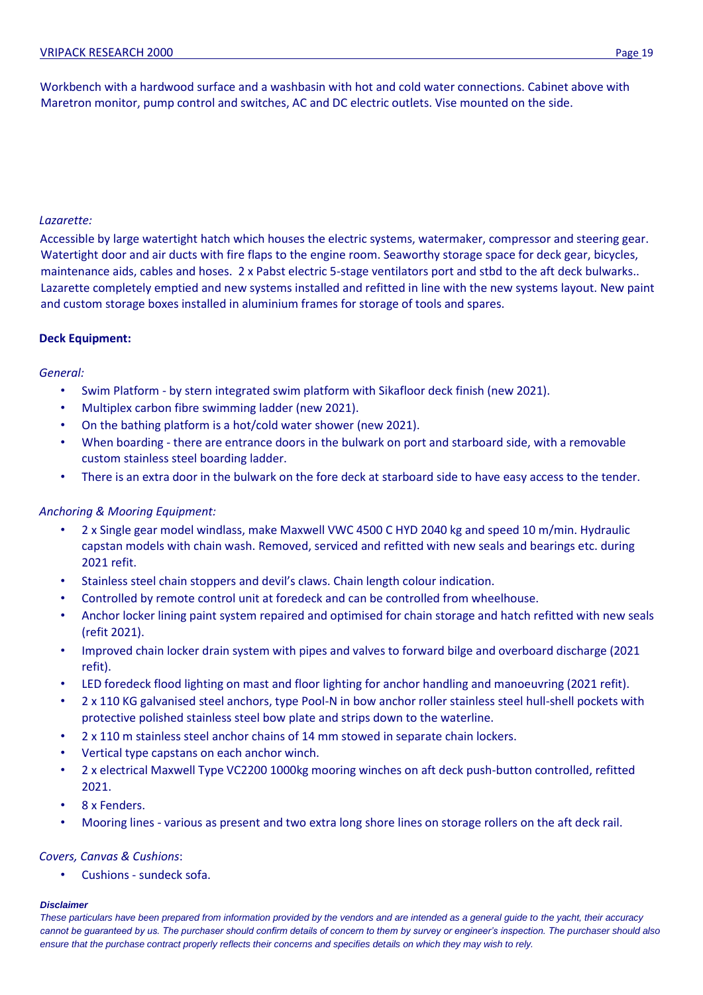## *Lazarette:*

Accessible by large watertight hatch which houses the electric systems, watermaker, compressor and steering gear. Watertight door and air ducts with fire flaps to the engine room. Seaworthy storage space for deck gear, bicycles, maintenance aids, cables and hoses. 2 x Pabst electric 5-stage ventilators port and stbd to the aft deck bulwarks.. Lazarette completely emptied and new systems installed and refitted in line with the new systems layout. New paint and custom storage boxes installed in aluminium frames for storage of tools and spares.

## **Deck Equipment:**

### *General:*

- Swim Platform by stern integrated swim platform with Sikafloor deck finish (new 2021).
- Multiplex carbon fibre swimming ladder (new 2021).
- On the bathing platform is a hot/cold water shower (new 2021).
- When boarding there are entrance doors in the bulwark on port and starboard side, with a removable custom stainless steel boarding ladder.
- There is an extra door in the bulwark on the fore deck at starboard side to have easy access to the tender.

## *Anchoring & Mooring Equipment:*

- 2 x Single gear model windlass, make Maxwell VWC 4500 C HYD 2040 kg and speed 10 m/min. Hydraulic capstan models with chain wash. Removed, serviced and refitted with new seals and bearings etc. during 2021 refit.
- Stainless steel chain stoppers and devil's claws. Chain length colour indication.
- Controlled by remote control unit at foredeck and can be controlled from wheelhouse.
- Anchor locker lining paint system repaired and optimised for chain storage and hatch refitted with new seals (refit 2021).
- Improved chain locker drain system with pipes and valves to forward bilge and overboard discharge (2021 refit).
- LED foredeck flood lighting on mast and floor lighting for anchor handling and manoeuvring (2021 refit).
- 2 x 110 KG galvanised steel anchors, type Pool-N in bow anchor roller stainless steel hull-shell pockets with protective polished stainless steel bow plate and strips down to the waterline.
- 2 x 110 m stainless steel anchor chains of 14 mm stowed in separate chain lockers.
- Vertical type capstans on each anchor winch.
- 2 x electrical Maxwell Type VC2200 1000kg mooring winches on aft deck push-button controlled, refitted 2021.
- 8 x Fenders.
- Mooring lines various as present and two extra long shore lines on storage rollers on the aft deck rail.

## *Covers, Canvas & Cushions*:

• Cushions - sundeck sofa.

### *Disclaimer*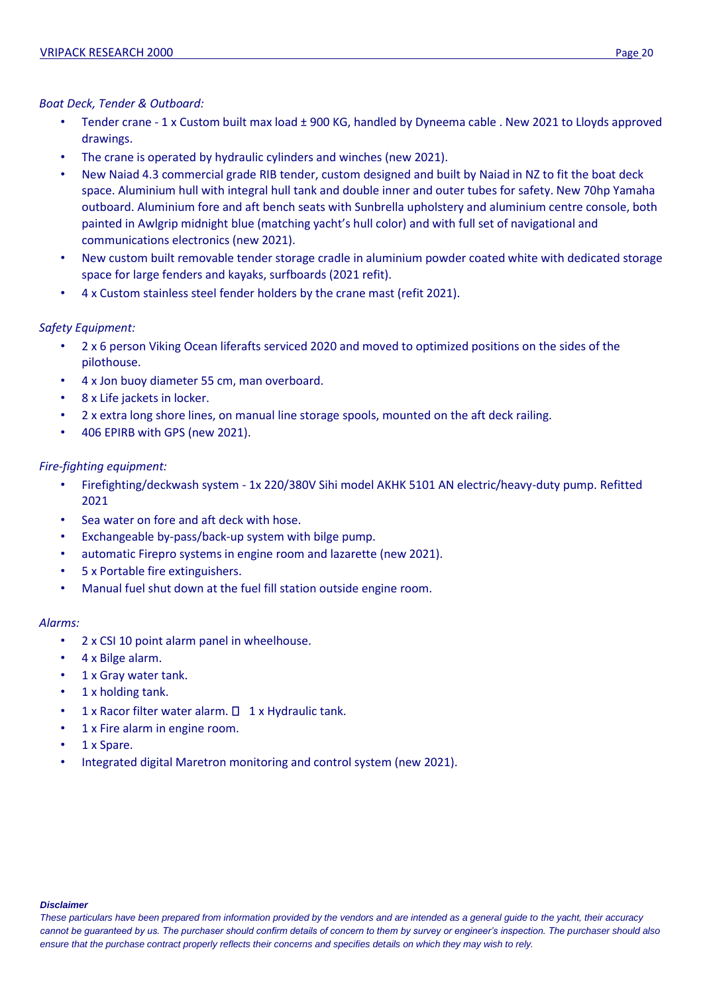## *Boat Deck, Tender & Outboard:*

- Tender crane 1 x Custom built max load ± 900 KG, handled by Dyneema cable . New 2021 to Lloyds approved drawings.
- The crane is operated by hydraulic cylinders and winches (new 2021).
- New Naiad 4.3 commercial grade RIB tender, custom designed and built by Naiad in NZ to fit the boat deck space. Aluminium hull with integral hull tank and double inner and outer tubes for safety. New 70hp Yamaha outboard. Aluminium fore and aft bench seats with Sunbrella upholstery and aluminium centre console, both painted in Awlgrip midnight blue (matching yacht's hull color) and with full set of navigational and communications electronics (new 2021).
- New custom built removable tender storage cradle in aluminium powder coated white with dedicated storage space for large fenders and kayaks, surfboards (2021 refit).
- 4 x Custom stainless steel fender holders by the crane mast (refit 2021).

## *Safety Equipment:*

- 2 x 6 person Viking Ocean liferafts serviced 2020 and moved to optimized positions on the sides of the pilothouse.
- 4 x Jon buoy diameter 55 cm, man overboard.
- 8 x Life jackets in locker.
- 2 x extra long shore lines, on manual line storage spools, mounted on the aft deck railing.
- 406 EPIRB with GPS (new 2021).

## *Fire-fighting equipment:*

- Firefighting/deckwash system 1x 220/380V Sihi model AKHK 5101 AN electric/heavy-duty pump. Refitted 2021
- Sea water on fore and aft deck with hose.
- Exchangeable by-pass/back-up system with bilge pump.
- automatic Firepro systems in engine room and lazarette (new 2021).
- 5 x Portable fire extinguishers.
- Manual fuel shut down at the fuel fill station outside engine room.

## *Alarms:*

- 2 x CSI 10 point alarm panel in wheelhouse.
- 4 x Bilge alarm.
- 1 x Gray water tank.
- 1 x holding tank.
- $1 \times$  Racor filter water alarm.  $\Box$   $1 \times$  Hydraulic tank.
- 1 x Fire alarm in engine room.
- 1 x Spare.
- Integrated digital Maretron monitoring and control system (new 2021).

### *Disclaimer*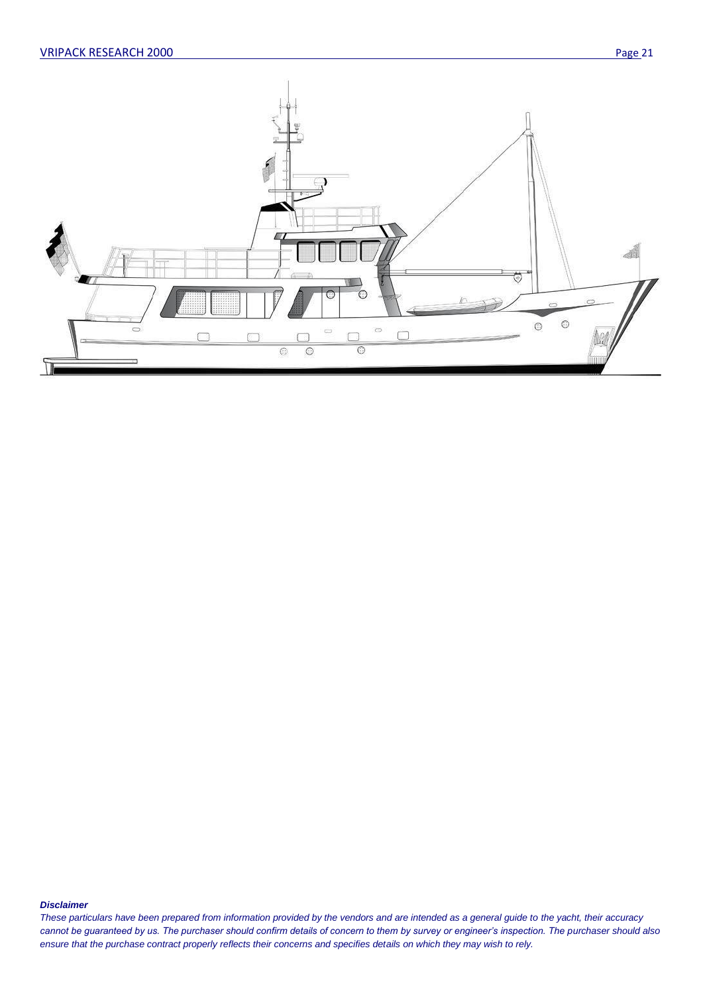

#### *Disclaimer*